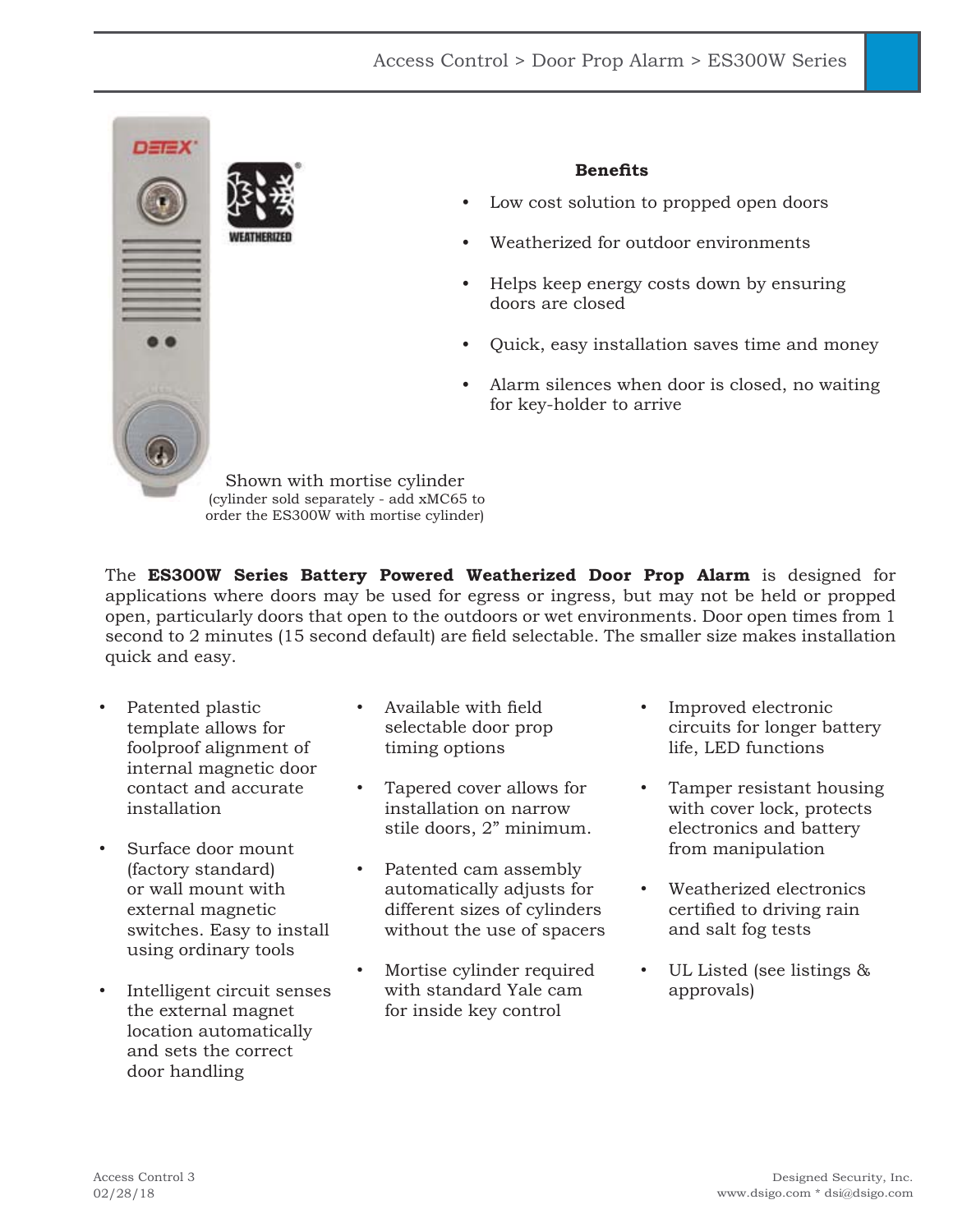

The **ES300W Series Battery Powered Weatherized Door Prop Alarm** is designed for applications where doors may be used for egress or ingress, but may not be held or propped open, particularly doors that open to the outdoors or wet environments. Door open times from 1 second to 2 minutes (15 second default) are field selectable. The smaller size makes installation quick and easy.

- Patented plastic template allows for foolproof alignment of internal magnetic door contact and accurate installation
- Surface door mount (factory standard) or wall mount with external magnetic switches. Easy to install using ordinary tools
- Intelligent circuit senses the external magnet location automatically and sets the correct door handling
- Available with field selectable door prop timing options
- Tapered cover allows for installation on narrow stile doors, 2" minimum.
- Patented cam assembly automatically adjusts for different sizes of cylinders without the use of spacers
- Mortise cylinder required with standard Yale cam for inside key control
- Improved electronic circuits for longer battery life, LED functions
- Tamper resistant housing with cover lock, protects electronics and battery from manipulation
- Weatherized electronics certified to driving rain and salt fog tests
- UL Listed (see listings & approvals)